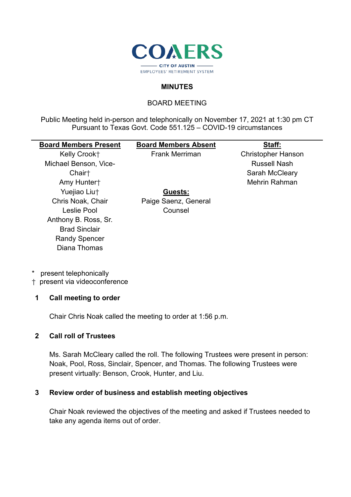

### **MINUTES**

### BOARD MEETING

Public Meeting held in-person and telephonically on November 17, 2021 at 1:30 pm CT Pursuant to Texas Govt. Code 551.125 – COVID-19 circumstances

## **Board Members Present**

Kelly Crook† Michael Benson, Vice-Chair† Amy Hunter† Yuejiao Liu† Chris Noak, Chair Leslie Pool Anthony B. Ross, Sr. Brad Sinclair Randy Spencer Diana Thomas

# **Board Members Absent**

**Guests:** Paige Saenz, General Counsel

Frank Merriman

**Staff:** Christopher Hanson Russell Nash Sarah McCleary Mehrin Rahman

\* present telephonically

† present via videoconference

#### **1 Call meeting to order**

Chair Chris Noak called the meeting to order at 1:56 p.m.

#### **2 Call roll of Trustees**

Ms. Sarah McCleary called the roll. The following Trustees were present in person: Noak, Pool, Ross, Sinclair, Spencer, and Thomas. The following Trustees were present virtually: Benson, Crook, Hunter, and Liu.

#### **3 Review order of business and establish meeting objectives**

Chair Noak reviewed the objectives of the meeting and asked if Trustees needed to take any agenda items out of order.